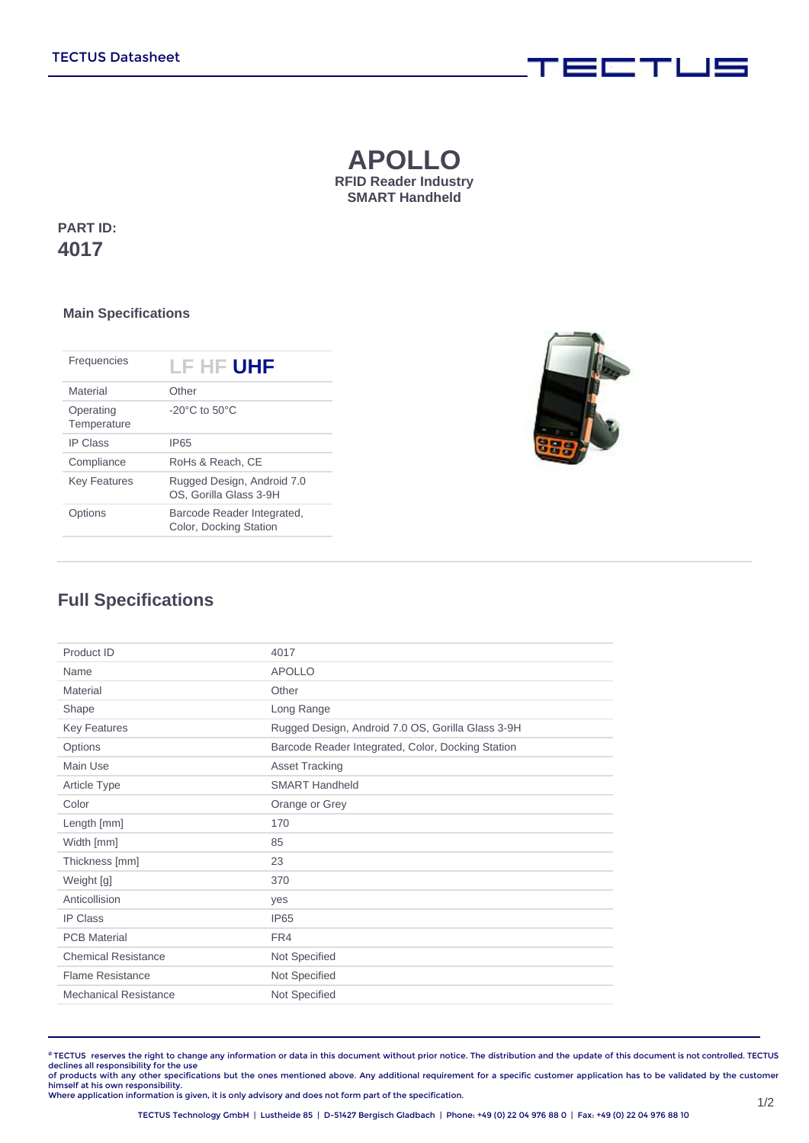## **APOLLO RFID Reader Industry SMART Handheld**

**PART ID: 4017**

## **Main Specifications**

| Frequencies              | LF HF UHF                                            |
|--------------------------|------------------------------------------------------|
| Material                 | Other                                                |
| Operating<br>Temperature | $-20^{\circ}$ C to $50^{\circ}$ C                    |
| <b>IP Class</b>          | <b>IP65</b>                                          |
| Compliance               | RoHs & Reach, CE                                     |
| <b>Key Features</b>      | Rugged Design, Android 7.0<br>OS. Gorilla Glass 3-9H |
| Options                  | Barcode Reader Integrated,<br>Color, Docking Station |



**FEBRUARY WEIGHT** 

## **Full Specifications**

| Product ID                   | 4017                                              |
|------------------------------|---------------------------------------------------|
| Name                         | <b>APOLLO</b>                                     |
| Material                     | Other                                             |
| Shape                        | Long Range                                        |
| <b>Key Features</b>          | Rugged Design, Android 7.0 OS, Gorilla Glass 3-9H |
| Options                      | Barcode Reader Integrated, Color, Docking Station |
| Main Use                     | <b>Asset Tracking</b>                             |
| <b>Article Type</b>          | <b>SMART Handheld</b>                             |
| Color                        | Orange or Grey                                    |
| Length [mm]                  | 170                                               |
| Width [mm]                   | 85                                                |
| Thickness [mm]               | 23                                                |
| Weight [g]                   | 370                                               |
| Anticollision                | yes                                               |
| <b>IP Class</b>              | <b>IP65</b>                                       |
| <b>PCB Material</b>          | FR4                                               |
| <b>Chemical Resistance</b>   | Not Specified                                     |
| <b>Flame Resistance</b>      | Not Specified                                     |
| <b>Mechanical Resistance</b> | Not Specified                                     |
|                              |                                                   |

**©** TECTUS reserves the right to change any information or data in this document without prior notice. The distribution and the update of this document is not controlled. TECTUS declines all responsibility for the use<br>of products with any other specifications but the ones mentioned above. Any additional requirement for a specific customer application has to be validated by the customer

himself at his own responsibility. Where application information is given, it is only advisory and does not form part of the specification.